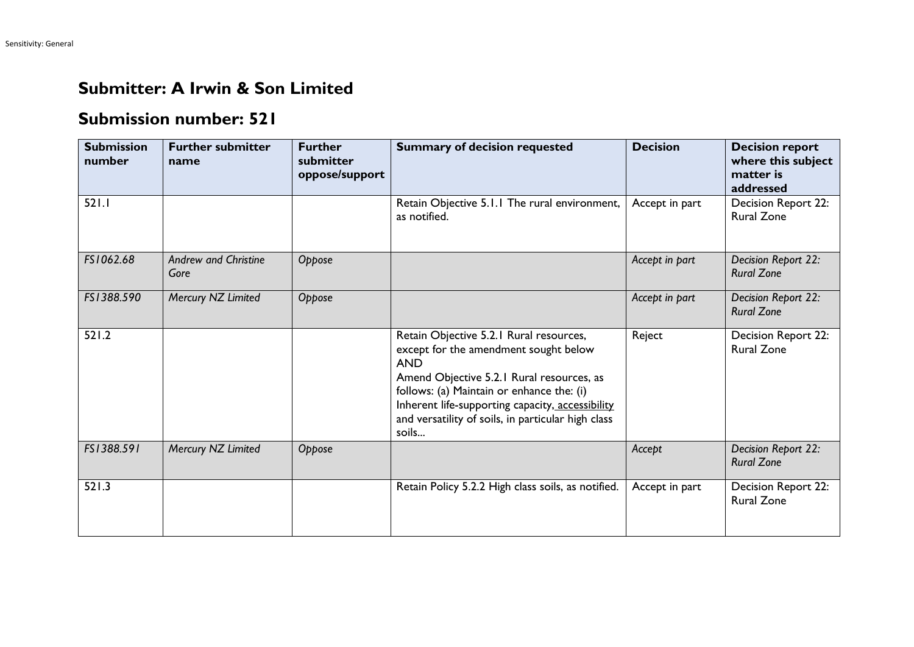## **Submitter: A Irwin & Son Limited**

## **Submission number: 521**

| <b>Submission</b><br>number | <b>Further submitter</b><br>name    | <b>Further</b><br>submitter<br>oppose/support | <b>Summary of decision requested</b>                                                                                                                                                                                                                                                                        | <b>Decision</b> | <b>Decision report</b><br>where this subject<br>matter is<br>addressed |
|-----------------------------|-------------------------------------|-----------------------------------------------|-------------------------------------------------------------------------------------------------------------------------------------------------------------------------------------------------------------------------------------------------------------------------------------------------------------|-----------------|------------------------------------------------------------------------|
| 521.1                       |                                     |                                               | Retain Objective 5.1.1 The rural environment,<br>as notified.                                                                                                                                                                                                                                               | Accept in part  | Decision Report 22:<br><b>Rural Zone</b>                               |
| FS1062.68                   | <b>Andrew and Christine</b><br>Gore | Oppose                                        |                                                                                                                                                                                                                                                                                                             | Accept in part  | Decision Report 22:<br><b>Rural Zone</b>                               |
| FS1388.590                  | Mercury NZ Limited                  | Oppose                                        |                                                                                                                                                                                                                                                                                                             | Accept in part  | Decision Report 22:<br><b>Rural Zone</b>                               |
| 521.2                       |                                     |                                               | Retain Objective 5.2.1 Rural resources,<br>except for the amendment sought below<br><b>AND</b><br>Amend Objective 5.2.1 Rural resources, as<br>follows: (a) Maintain or enhance the: (i)<br>Inherent life-supporting capacity, accessibility<br>and versatility of soils, in particular high class<br>soils | Reject          | Decision Report 22:<br><b>Rural Zone</b>                               |
| FS1388.591                  | Mercury NZ Limited                  | Oppose                                        |                                                                                                                                                                                                                                                                                                             | Accept          | Decision Report 22:<br><b>Rural Zone</b>                               |
| 521.3                       |                                     |                                               | Retain Policy 5.2.2 High class soils, as notified.                                                                                                                                                                                                                                                          | Accept in part  | Decision Report 22:<br><b>Rural Zone</b>                               |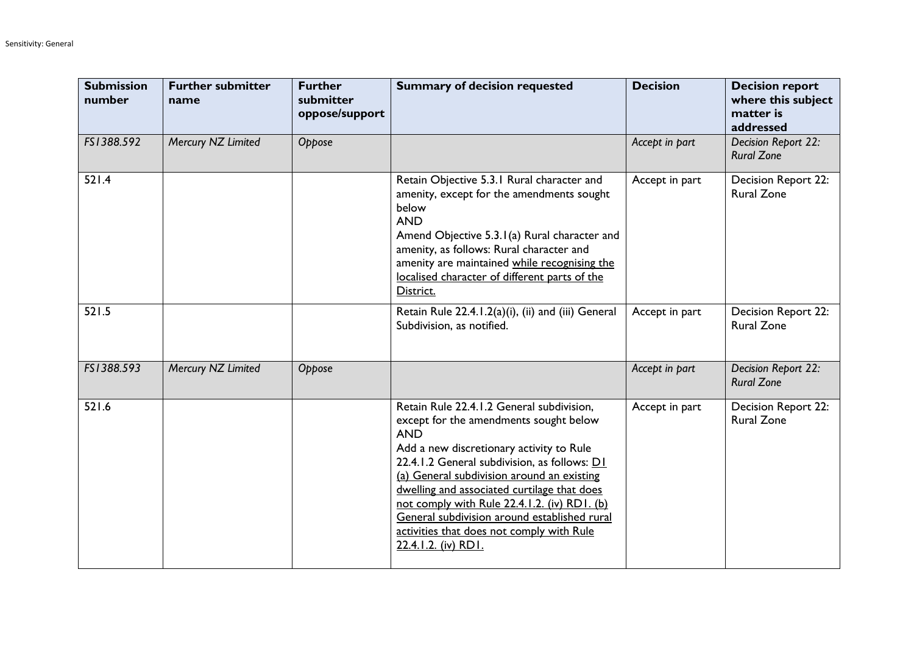| <b>Submission</b><br>number | <b>Further submitter</b><br>name | <b>Further</b><br>submitter<br>oppose/support | <b>Summary of decision requested</b>                                                                                                                                                                                                                                                                                                                                                                                                                           | <b>Decision</b> | <b>Decision report</b><br>where this subject<br>matter is<br>addressed |
|-----------------------------|----------------------------------|-----------------------------------------------|----------------------------------------------------------------------------------------------------------------------------------------------------------------------------------------------------------------------------------------------------------------------------------------------------------------------------------------------------------------------------------------------------------------------------------------------------------------|-----------------|------------------------------------------------------------------------|
| FS1388.592                  | Mercury NZ Limited               | Oppose                                        |                                                                                                                                                                                                                                                                                                                                                                                                                                                                | Accept in part  | Decision Report 22:<br><b>Rural Zone</b>                               |
| 521.4                       |                                  |                                               | Retain Objective 5.3.1 Rural character and<br>amenity, except for the amendments sought<br>below<br><b>AND</b><br>Amend Objective 5.3.1(a) Rural character and<br>amenity, as follows: Rural character and<br>amenity are maintained while recognising the<br>localised character of different parts of the<br>District.                                                                                                                                       | Accept in part  | Decision Report 22:<br><b>Rural Zone</b>                               |
| 521.5                       |                                  |                                               | Retain Rule 22.4.1.2(a)(i), (ii) and (iii) General<br>Subdivision, as notified.                                                                                                                                                                                                                                                                                                                                                                                | Accept in part  | Decision Report 22:<br><b>Rural Zone</b>                               |
| FS1388.593                  | Mercury NZ Limited               | Oppose                                        |                                                                                                                                                                                                                                                                                                                                                                                                                                                                | Accept in part  | Decision Report 22:<br><b>Rural Zone</b>                               |
| 521.6                       |                                  |                                               | Retain Rule 22.4.1.2 General subdivision,<br>except for the amendments sought below<br><b>AND</b><br>Add a new discretionary activity to Rule<br>22.4.1.2 General subdivision, as follows: D1<br>(a) General subdivision around an existing<br>dwelling and associated curtilage that does<br>not comply with Rule 22.4.1.2. (iv) RD1. (b)<br>General subdivision around established rural<br>activities that does not comply with Rule<br>22.4.1.2. (iv) RD1. | Accept in part  | <b>Decision Report 22:</b><br><b>Rural Zone</b>                        |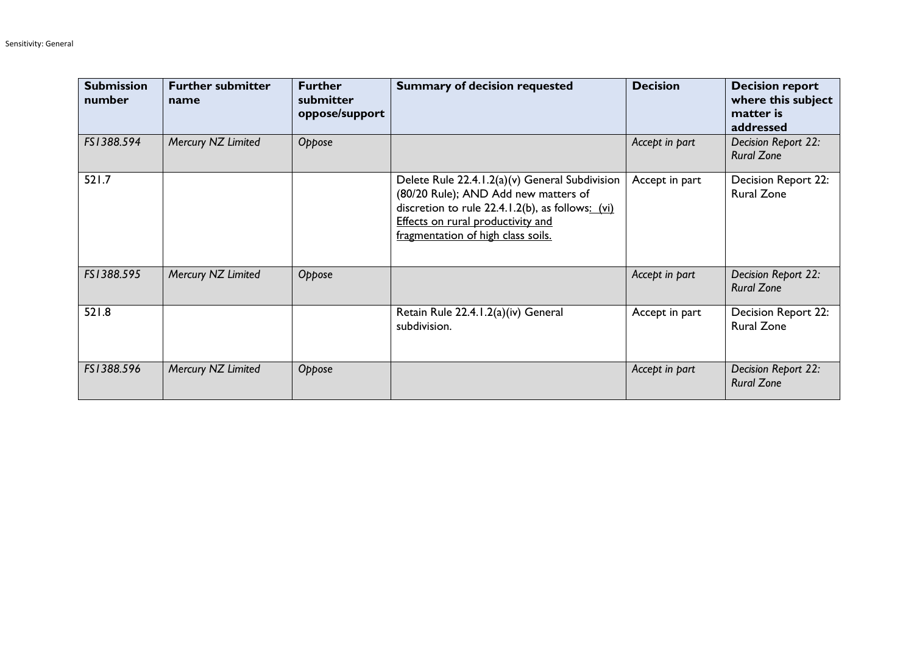| <b>Submission</b><br>number | <b>Further submitter</b><br>name | <b>Further</b><br>submitter<br>oppose/support | <b>Summary of decision requested</b>                                                                                                                                                                                  | <b>Decision</b> | <b>Decision report</b><br>where this subject<br>matter is<br>addressed |
|-----------------------------|----------------------------------|-----------------------------------------------|-----------------------------------------------------------------------------------------------------------------------------------------------------------------------------------------------------------------------|-----------------|------------------------------------------------------------------------|
| FS1388.594                  | Mercury NZ Limited               | Oppose                                        |                                                                                                                                                                                                                       | Accept in part  | Decision Report 22:<br><b>Rural Zone</b>                               |
| 521.7                       |                                  |                                               | Delete Rule 22.4.1.2(a)(v) General Subdivision<br>(80/20 Rule); AND Add new matters of<br>discretion to rule 22.4.1.2(b), as follows: (vi)<br>Effects on rural productivity and<br>fragmentation of high class soils. | Accept in part  | <b>Decision Report 22:</b><br><b>Rural Zone</b>                        |
| FS1388.595                  | Mercury NZ Limited               | Oppose                                        |                                                                                                                                                                                                                       | Accept in part  | Decision Report 22:<br><b>Rural Zone</b>                               |
| 521.8                       |                                  |                                               | Retain Rule 22.4.1.2(a)(iv) General<br>subdivision.                                                                                                                                                                   | Accept in part  | Decision Report 22:<br><b>Rural Zone</b>                               |
| FS1388.596                  | Mercury NZ Limited               | Oppose                                        |                                                                                                                                                                                                                       | Accept in part  | Decision Report 22:<br><b>Rural Zone</b>                               |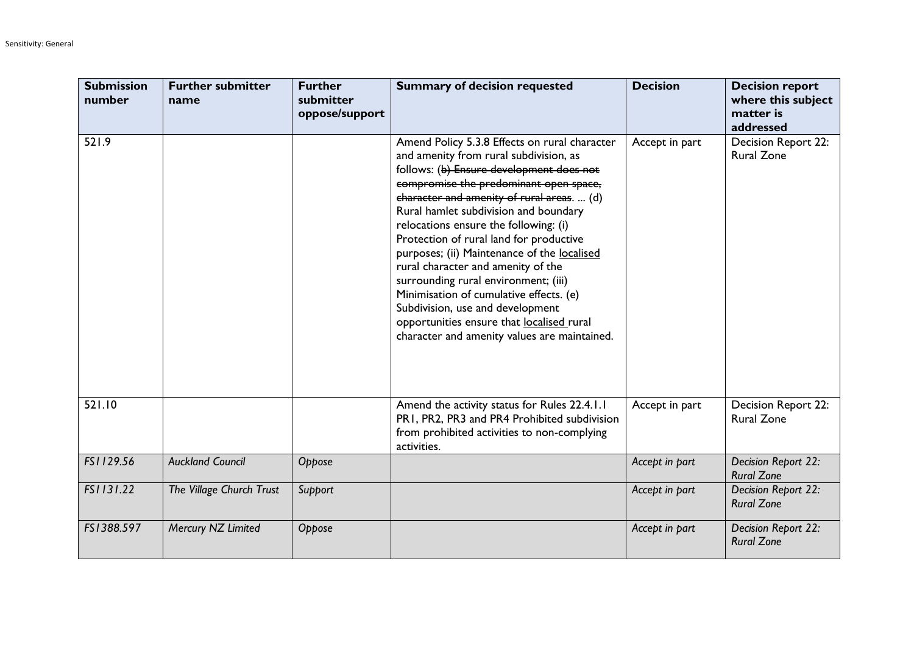| <b>Submission</b><br>number | <b>Further submitter</b><br>name | <b>Further</b><br>submitter<br>oppose/support | <b>Summary of decision requested</b>                                                                                                                                                                                                                                                                                                                                                                                                                                                                                                                                                                                                                              | <b>Decision</b> | <b>Decision report</b><br>where this subject<br>matter is<br>addressed |
|-----------------------------|----------------------------------|-----------------------------------------------|-------------------------------------------------------------------------------------------------------------------------------------------------------------------------------------------------------------------------------------------------------------------------------------------------------------------------------------------------------------------------------------------------------------------------------------------------------------------------------------------------------------------------------------------------------------------------------------------------------------------------------------------------------------------|-----------------|------------------------------------------------------------------------|
| 521.9                       |                                  |                                               | Amend Policy 5.3.8 Effects on rural character<br>and amenity from rural subdivision, as<br>follows: (b) Ensure development does not<br>compromise the predominant open space,<br>character and amenity of rural areas.  (d)<br>Rural hamlet subdivision and boundary<br>relocations ensure the following: (i)<br>Protection of rural land for productive<br>purposes; (ii) Maintenance of the localised<br>rural character and amenity of the<br>surrounding rural environment; (iii)<br>Minimisation of cumulative effects. (e)<br>Subdivision, use and development<br>opportunities ensure that localised rural<br>character and amenity values are maintained. | Accept in part  | Decision Report 22:<br><b>Rural Zone</b>                               |
| 521.10                      |                                  |                                               | Amend the activity status for Rules 22.4.1.1<br>PR1, PR2, PR3 and PR4 Prohibited subdivision<br>from prohibited activities to non-complying<br>activities.                                                                                                                                                                                                                                                                                                                                                                                                                                                                                                        | Accept in part  | Decision Report 22:<br><b>Rural Zone</b>                               |
| FS1129.56                   | <b>Auckland Council</b>          | Oppose                                        |                                                                                                                                                                                                                                                                                                                                                                                                                                                                                                                                                                                                                                                                   | Accept in part  | Decision Report 22:<br><b>Rural Zone</b>                               |
| FS1131.22                   | The Village Church Trust         | Support                                       |                                                                                                                                                                                                                                                                                                                                                                                                                                                                                                                                                                                                                                                                   | Accept in part  | Decision Report 22:<br><b>Rural Zone</b>                               |
| FS1388.597                  | Mercury NZ Limited               | Oppose                                        |                                                                                                                                                                                                                                                                                                                                                                                                                                                                                                                                                                                                                                                                   | Accept in part  | Decision Report 22:<br><b>Rural Zone</b>                               |